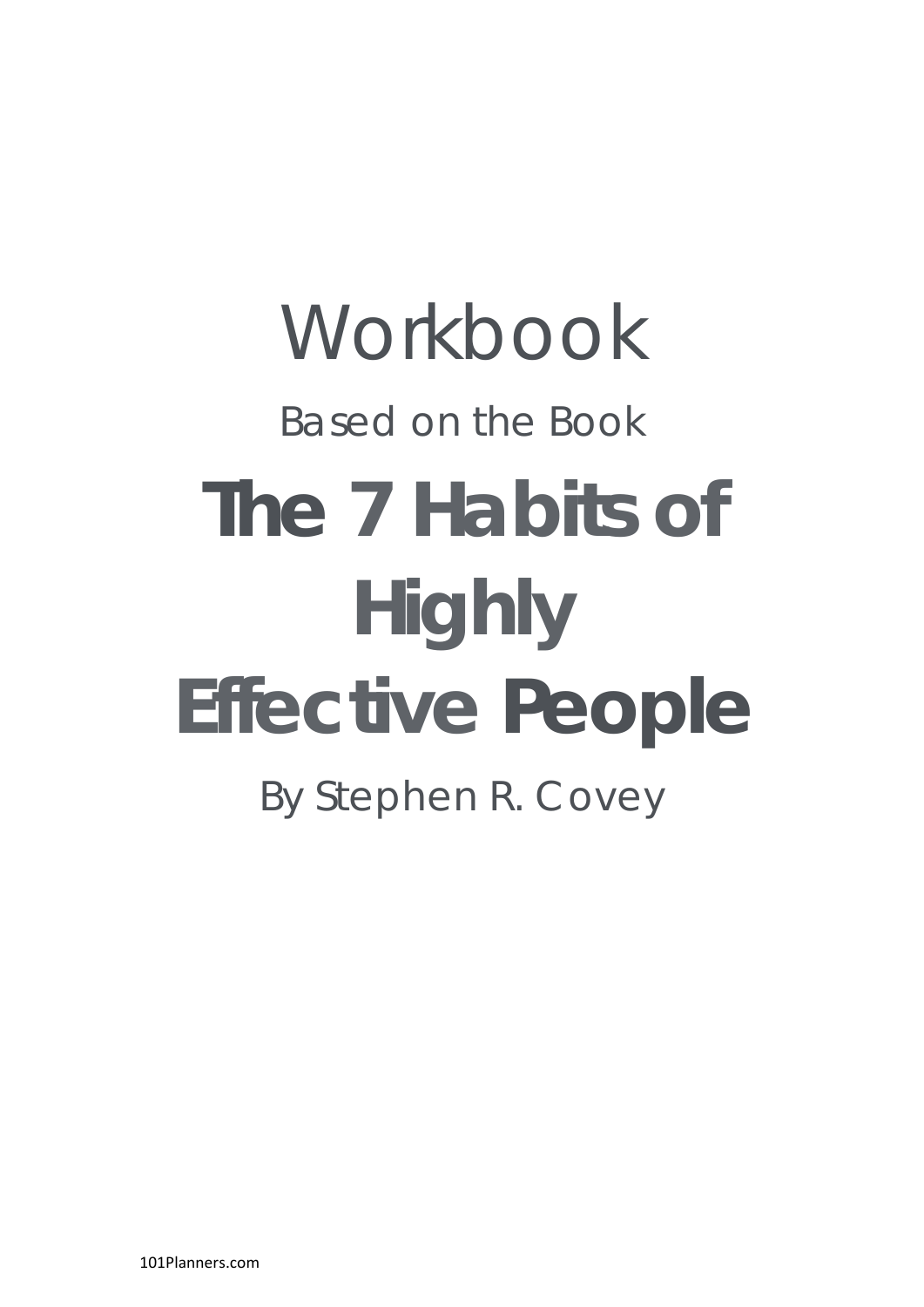# **Workbook** Based on the Book **The 7 Habits of Highly Effective People**

By Stephen R. Covey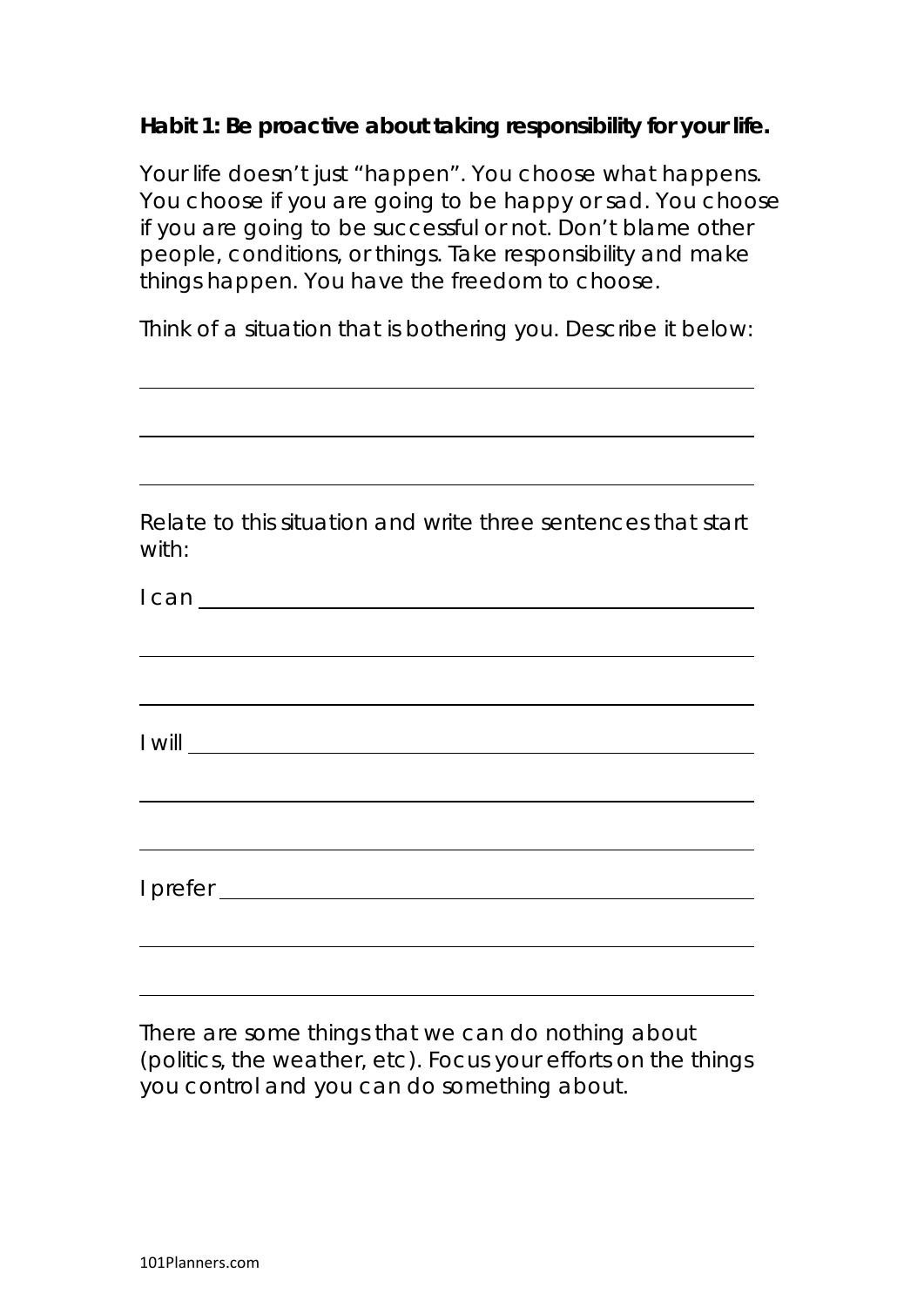## **Habit 1: Be proactive about taking responsibility for your life.**

Your life doesn't just "happen". You choose what happens. You choose if you are going to be happy or sad. You choose if you are going to be successful or not. Don't blame other people, conditions, or things. Take responsibility and make things happen. You have the freedom to choose.

Think of a situation that is bothering you. Describe it below:

|       | Relate to this situation and write three sentences that start |  |  |
|-------|---------------------------------------------------------------|--|--|
| with: |                                                               |  |  |

|  | $I will \_$ |  |  |
|--|-------------|--|--|
|  |             |  |  |
|  |             |  |  |
|  |             |  |  |
|  |             |  |  |

There are some things that we can do nothing about (politics, the weather, etc). Focus your efforts on the things you control and you can do something about.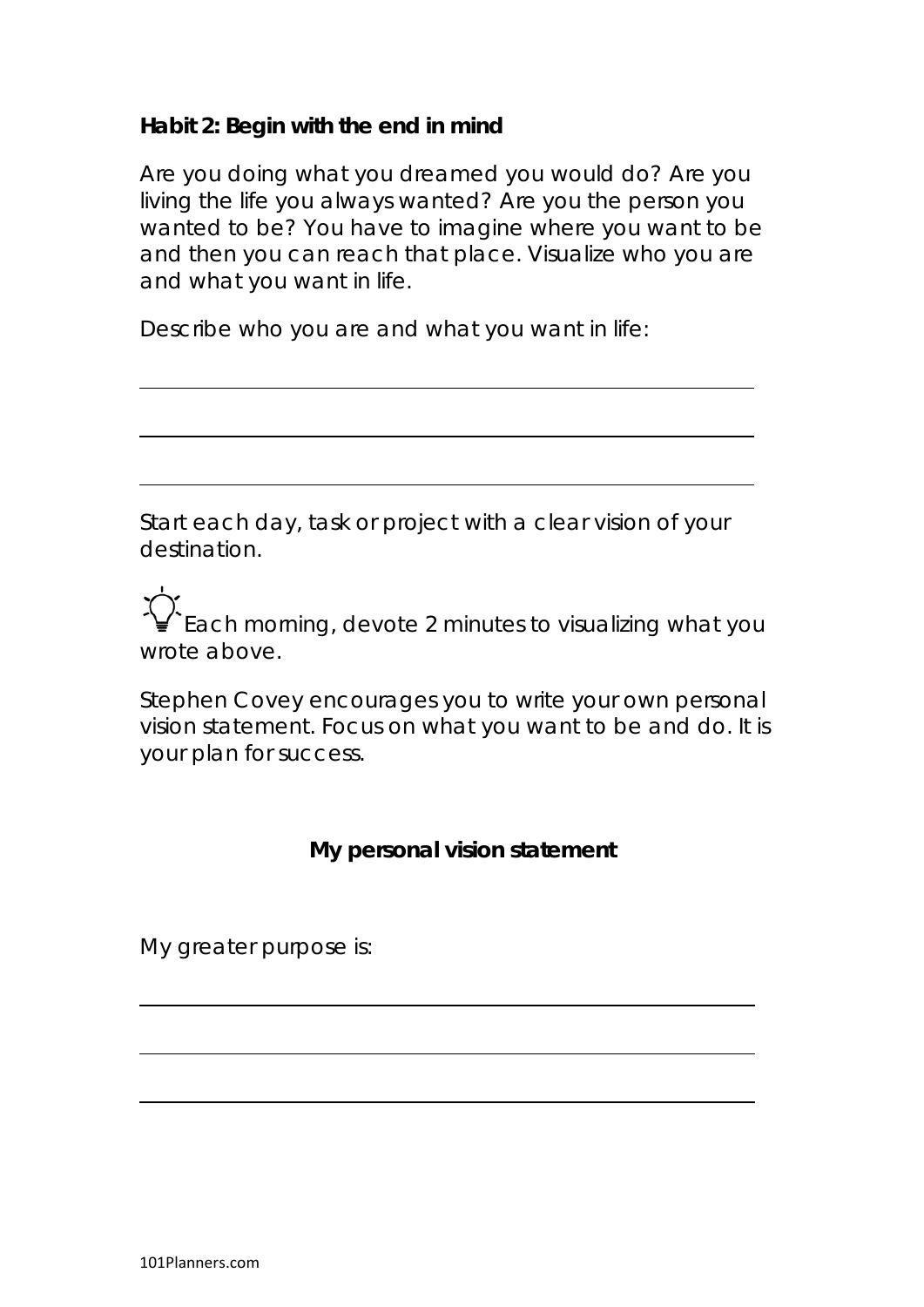## **Habit 2: Begin with the end in mind**

Are you doing what you dreamed you would do? Are you living the life you always wanted? Are you the person you wanted to be? You have to imagine where you want to be and then you can reach that place. Visualize who you are and what you want in life.

Describe who you are and what you want in life:

Start each day, task or project with a clear vision of your destination.

Each morning, devote 2 minutes to visualizing what you wrote above.

Stephen Covey encourages you to write your own personal vision statement. Focus on what you want to be and do. It is your plan for success.

# **My personal vision statement**

My greater purpose is:

101Planners.com

 $\overline{\phantom{a}}$ 

 $\overline{a}$ 

 $\overline{a}$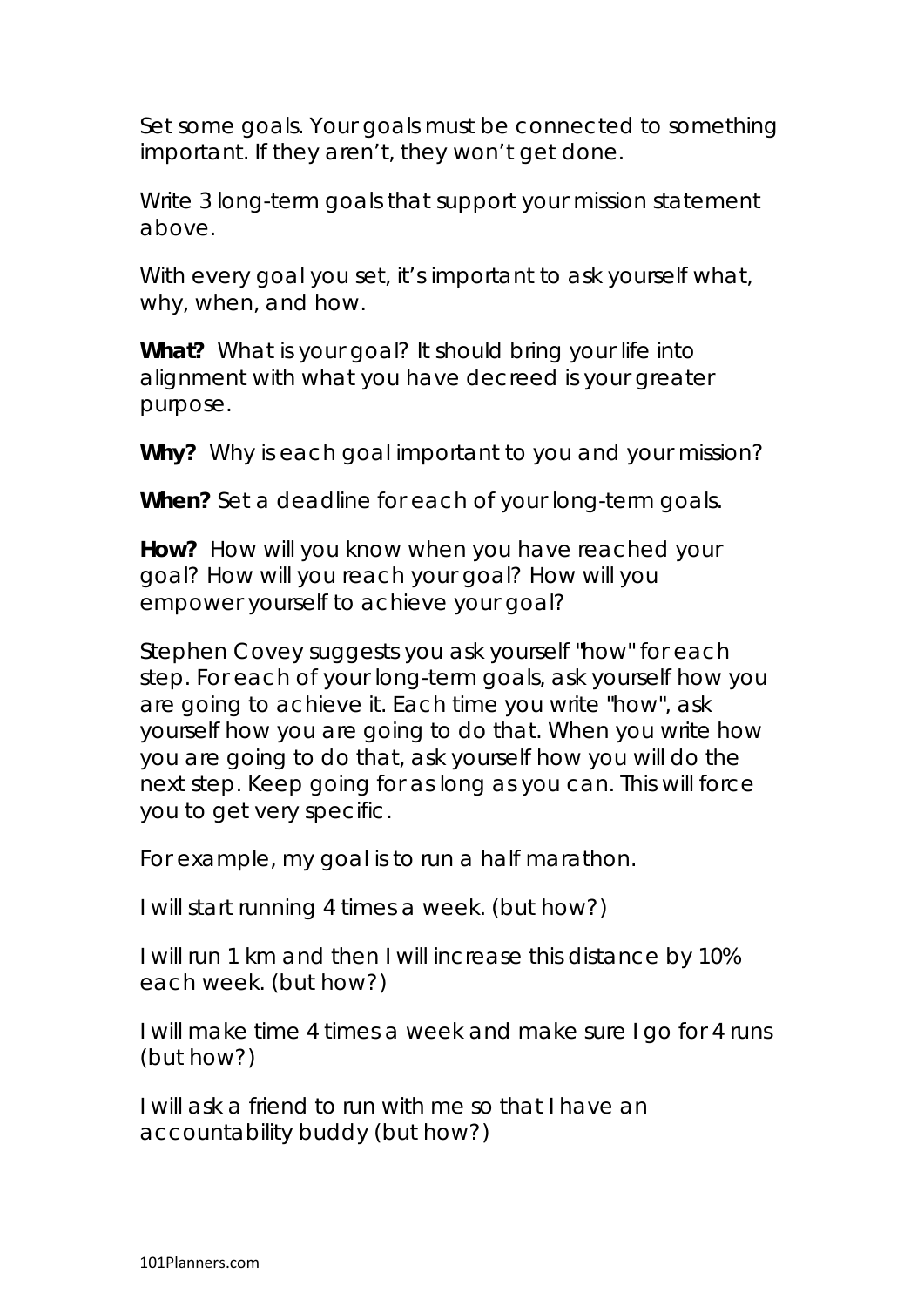Set some goals. Your goals must be connected to something important. If they aren't, they won't get done.

Write 3 long-term goals that support your mission statement above.

With every goal you set, it's important to ask yourself what, why, when, and how.

**What?** What is your goal? It should bring your life into alignment with what you have decreed is your greater purpose.

**Why?** Why is each goal important to you and your mission?

**When?** Set a deadline for each of your long-term goals.

**How?** How will you know when you have reached your goal? How will you reach your goal? How will you empower yourself to achieve your goal?

Stephen Covey suggests you ask yourself "how" for each step. For each of your long-term goals, ask yourself how you are going to achieve it. Each time you write "how", ask yourself how you are going to do that. When you write how you are going to do that, ask yourself how you will do the next step. Keep going for as long as you can. This will force you to get very specific.

For example, my goal is to run a half marathon.

I will start running 4 times a week. (but how?)

I will run 1 km and then I will increase this distance by 10% each week. (but how?)

I will make time 4 times a week and make sure I go for 4 runs (but how?)

I will ask a friend to run with me so that I have an accountability buddy (but how?)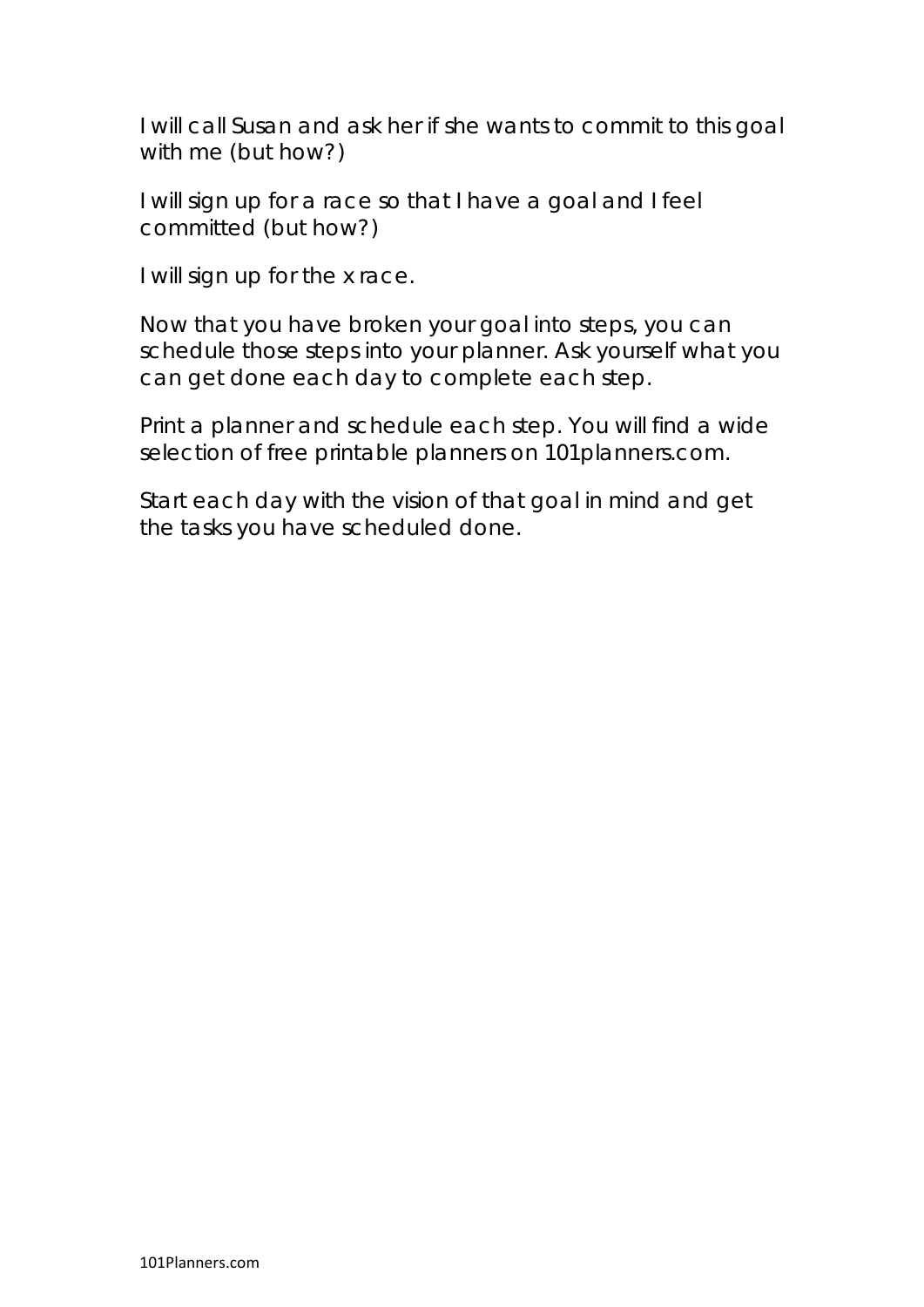I will call Susan and ask her if she wants to commit to this goal with me (but how?)

I will sign up for a race so that I have a goal and I feel committed (but how?)

I will sign up for the x race.

Now that you have broken your goal into steps, you can schedule those steps into your planner. Ask yourself what you can get done each day to complete each step.

Print a planner and schedule each step. You will find a wide selection of free printable planners on 101planners.com.

Start each day with the vision of that goal in mind and get the tasks you have scheduled done.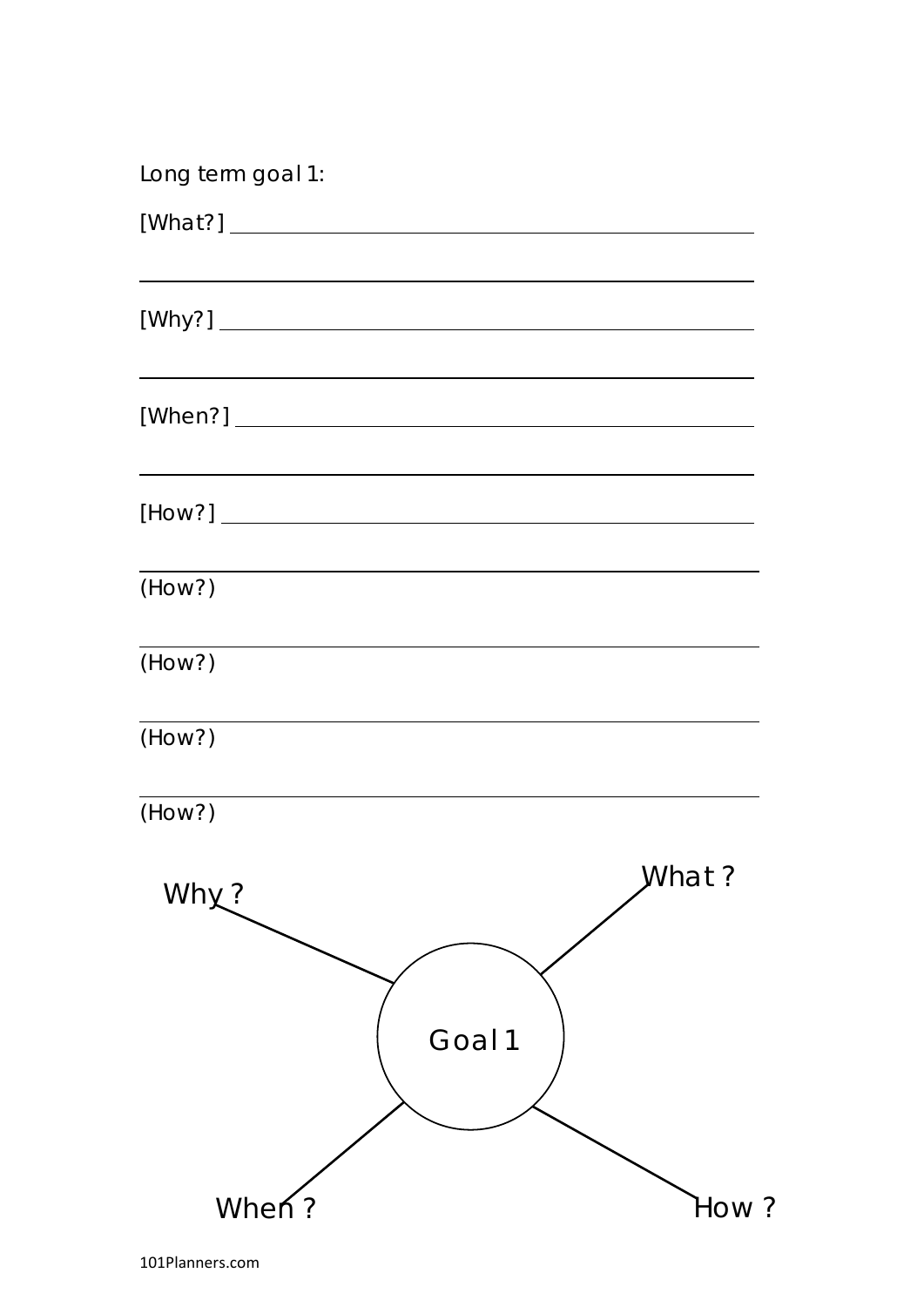| Long term goal 1:                                                                                                                                                                                                              |        |       |
|--------------------------------------------------------------------------------------------------------------------------------------------------------------------------------------------------------------------------------|--------|-------|
|                                                                                                                                                                                                                                |        |       |
|                                                                                                                                                                                                                                |        |       |
| <u> 1980 - John Stein, Amerikaansk politiker (* 1918)</u><br>$[When?]\n\begin{minipage}{.4\linewidth} \n\hline\n\textbf{[When?]} \n\end{minipage}\n\begin{minipage}{.4\linewidth} \n\hline\n\textbf{[When?]} \n\end{minipage}$ |        |       |
| <u> 1989 - Andrea Stadt Brandenburg, amerikansk politiker (d. 1989)</u>                                                                                                                                                        |        |       |
| (HOW?)                                                                                                                                                                                                                         |        |       |
| (HOW?)                                                                                                                                                                                                                         |        |       |
| (How?)                                                                                                                                                                                                                         |        |       |
| (HOW?)                                                                                                                                                                                                                         |        |       |
| Why?                                                                                                                                                                                                                           |        | What? |
|                                                                                                                                                                                                                                | Goal 1 |       |
| When?                                                                                                                                                                                                                          |        | How?  |

101Planners.com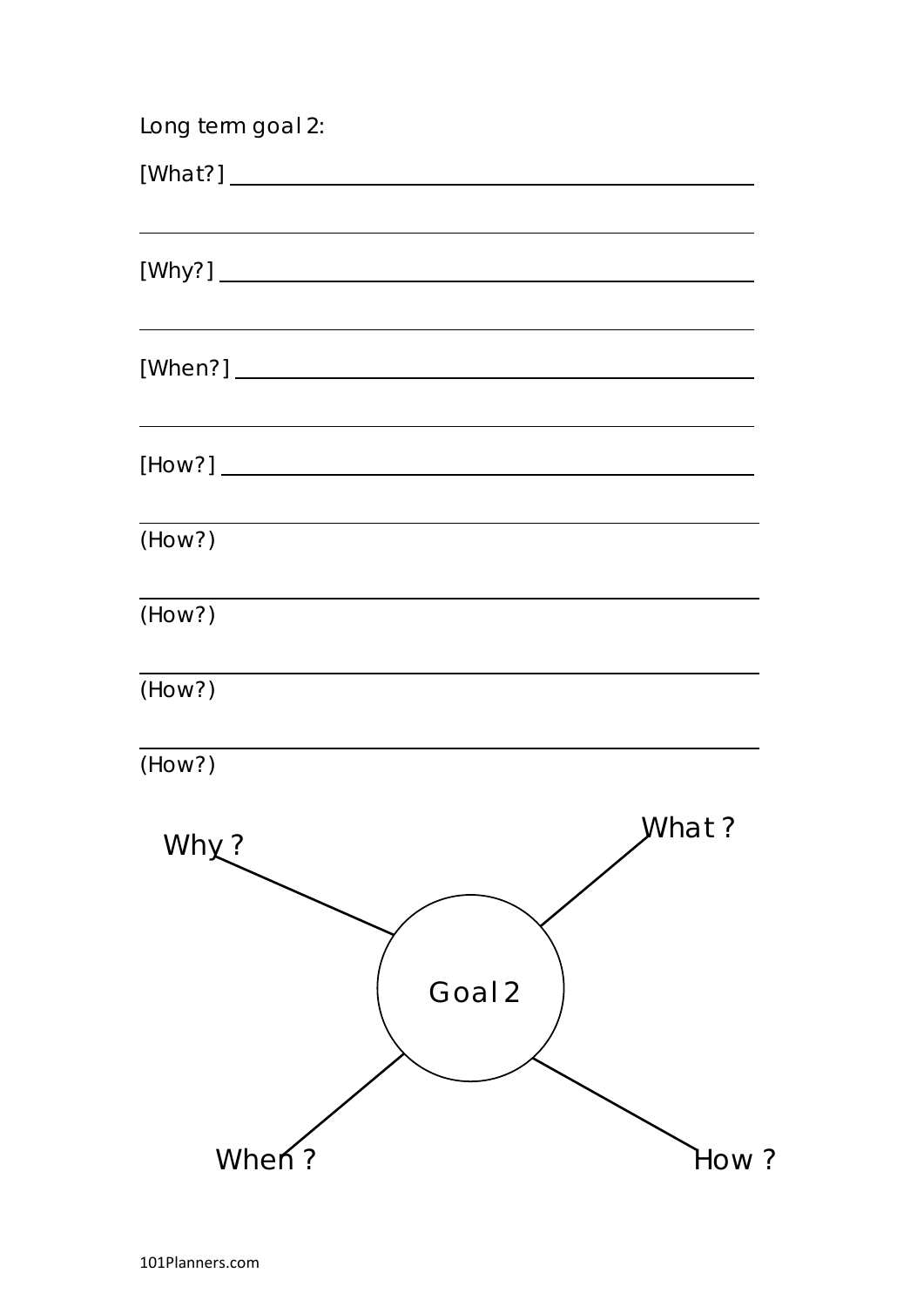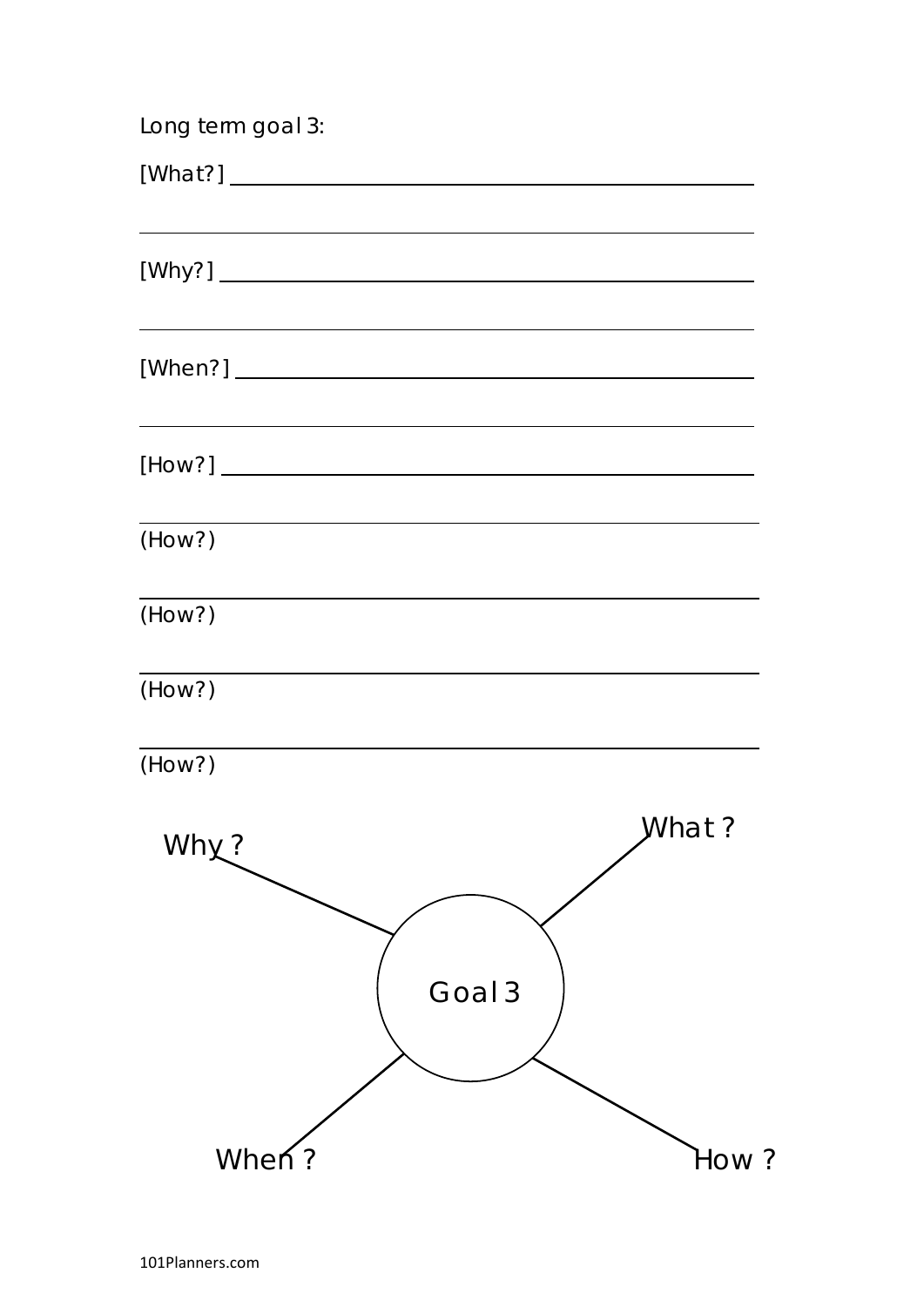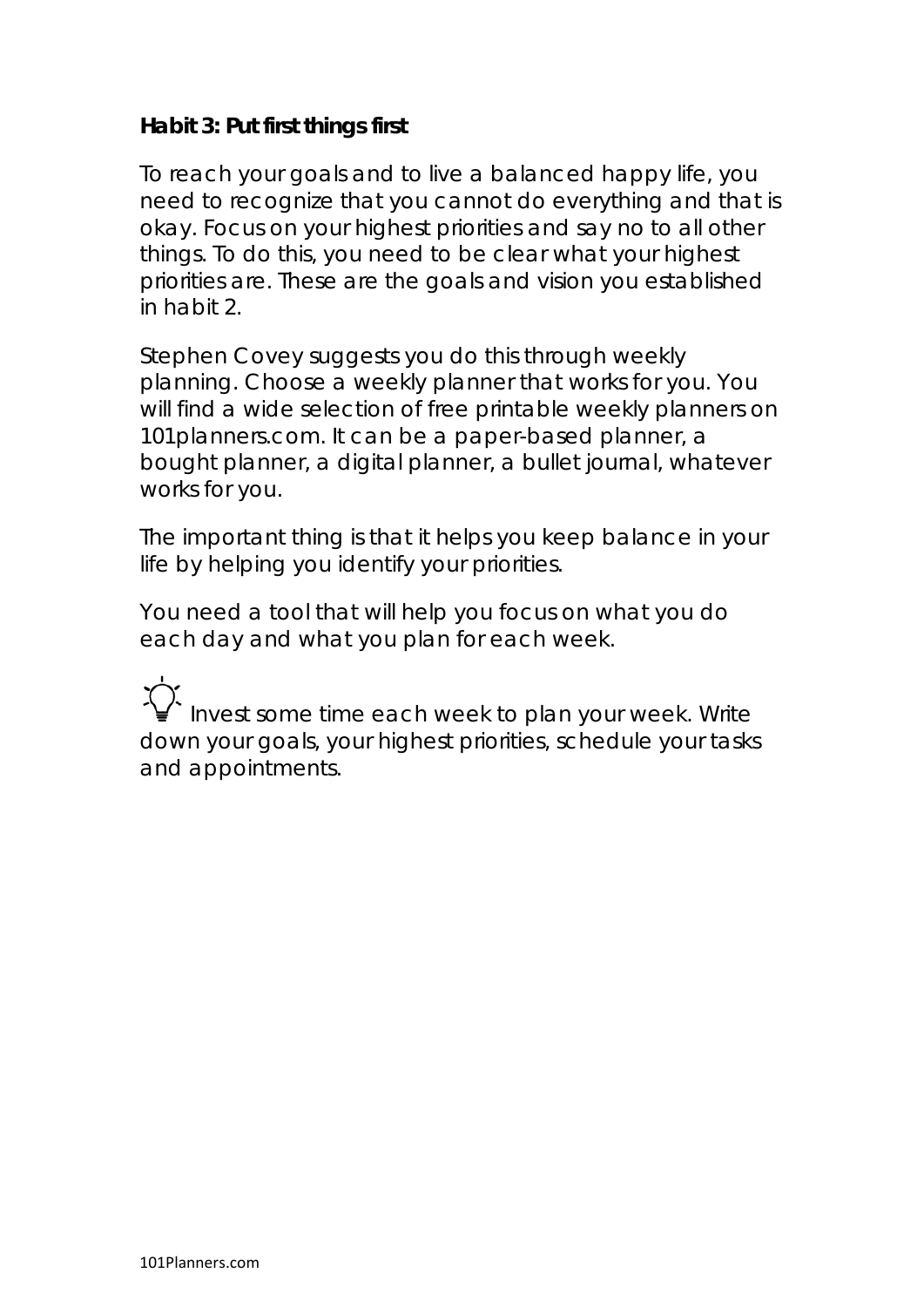#### **Habit 3: Put first things first**

To reach your goals and to live a balanced happy life, you need to recognize that you cannot do everything and that is okay. Focus on your highest priorities and say no to all other things. To do this, you need to be clear what your highest priorities are. These are the goals and vision you established in habit 2.

Stephen Covey suggests you do this through weekly planning. Choose a weekly planner that works for you. You will find a wide selection of free printable weekly planners on 101planners.com. It can be a paper-based planner, a bought planner, a digital planner, a bullet journal, whatever works for you.

The important thing is that it helps you keep balance in your life by helping you identify your priorities.

You need a tool that will help you focus on what you do each day and what you plan for each week.

Invest some time each week to plan your week. Write down your goals, your highest priorities, schedule your tasks and appointments.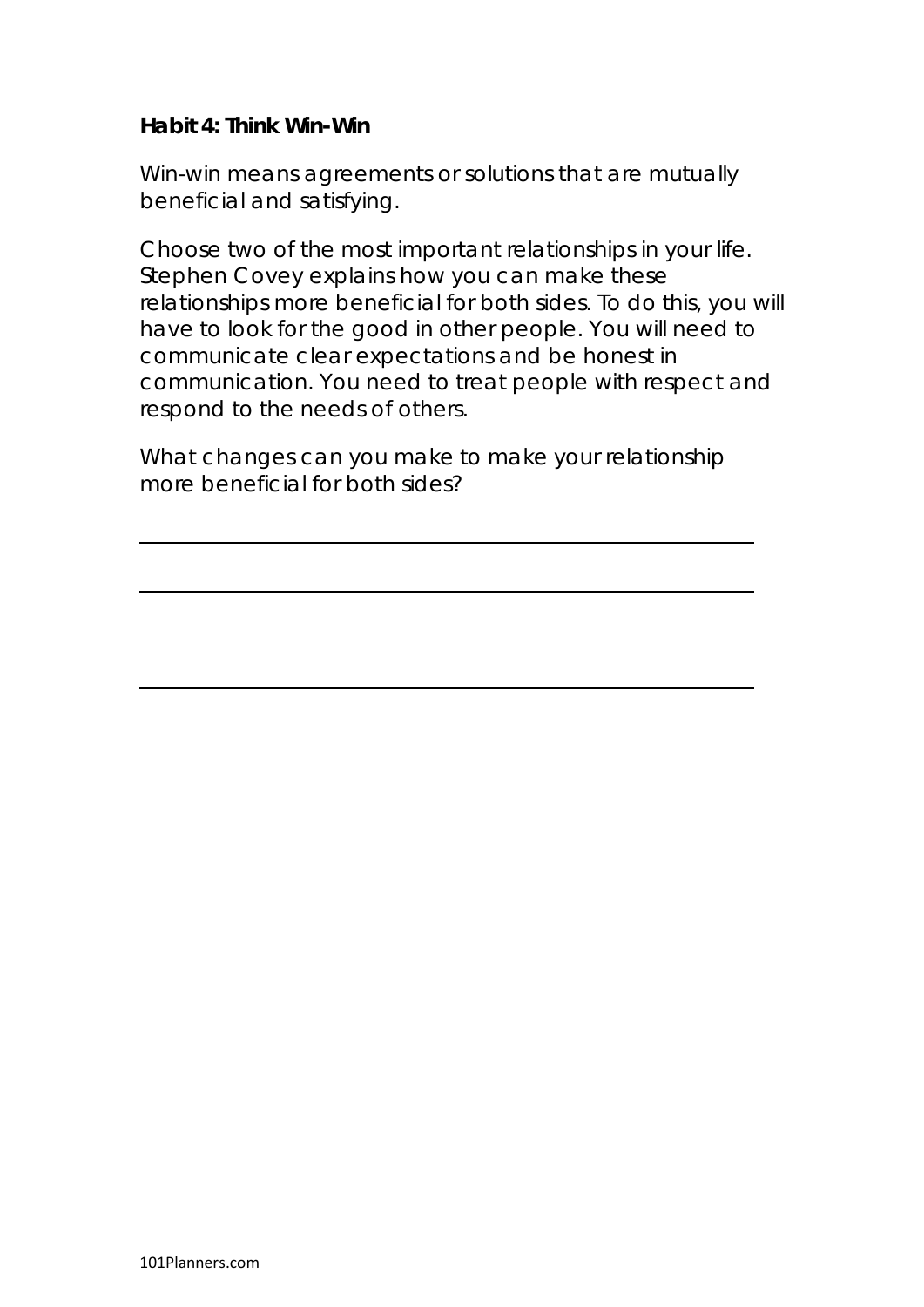#### **Habit 4: Think Win-Win**

Win-win means agreements or solutions that are mutually beneficial and satisfying.

Choose two of the most important relationships in your life. Stephen Covey explains how you can make these relationships more beneficial for both sides. To do this, you will have to look for the good in other people. You will need to communicate clear expectations and be honest in communication. You need to treat people with respect and respond to the needs of others.

What changes can you make to make your relationship more beneficial for both sides?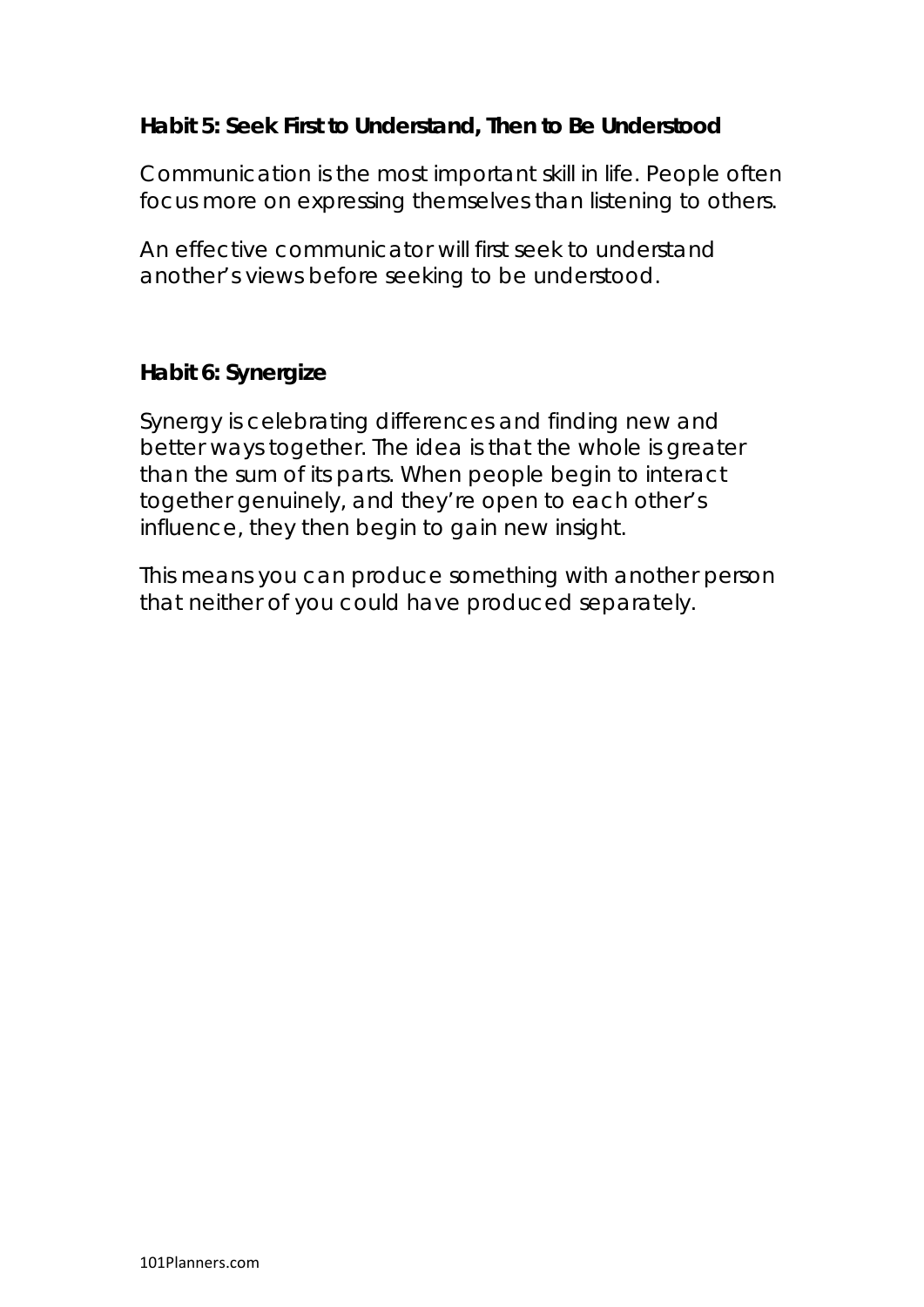# **Habit 5: Seek First to Understand, Then to Be Understood**

Communication is the most important skill in life. People often focus more on expressing themselves than listening to others.

An effective communicator will first seek to understand another's views before seeking to be understood.

#### **Habit 6: Synergize**

Synergy is celebrating differences and finding new and better ways together. The idea is that the whole is greater than the sum of its parts. When people begin to interact together genuinely, and they're open to each other's influence, they then begin to gain new insight.

This means you can produce something with another person that neither of you could have produced separately.